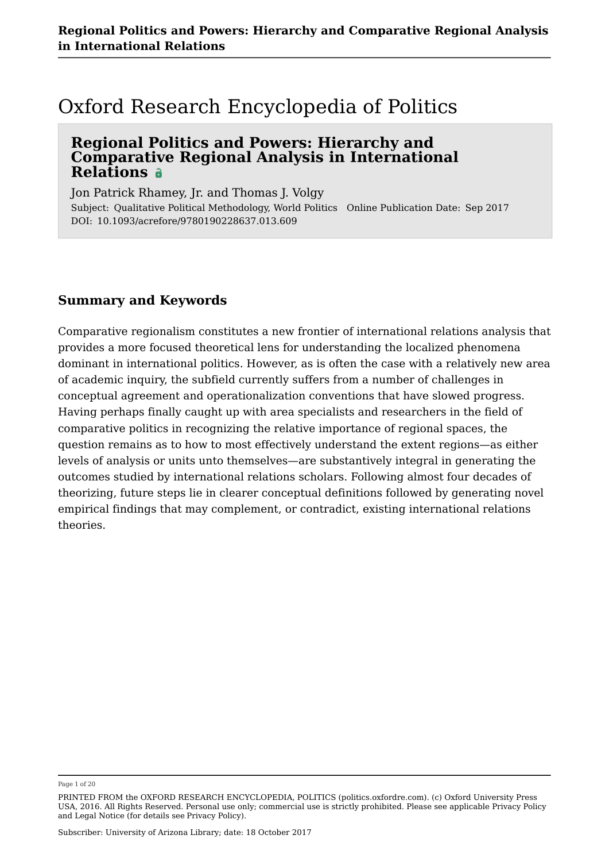## Oxford Research Encyclopedia of Politics

### **Regional Politics and Powers: Hierarchy and Comparative Regional Analysis in International Relations**

Jon Patrick Rhamey, Jr. and Thomas J. Volgy Subject: Qualitative Political Methodology, World Politics Online Publication Date: Sep 2017 DOI: 10.1093/acrefore/9780190228637.013.609

### **Summary and Keywords**

Comparative regionalism constitutes a new frontier of international relations analysis that provides a more focused theoretical lens for understanding the localized phenomena dominant in international politics. However, as is often the case with a relatively new area of academic inquiry, the subfield currently suffers from a number of challenges in conceptual agreement and operationalization conventions that have slowed progress. Having perhaps finally caught up with area specialists and researchers in the field of comparative politics in recognizing the relative importance of regional spaces, the question remains as to how to most effectively understand the extent regions—as either levels of analysis or units unto themselves—are substantively integral in generating the outcomes studied by international relations scholars. Following almost four decades of theorizing, future steps lie in clearer conceptual definitions followed by generating novel empirical findings that may complement, or contradict, existing international relations theories.

Page 1 of 20

PRINTED FROM the OXFORD RESEARCH ENCYCLOPEDIA, POLITICS (politics.oxfordre.com). (c) Oxford University Press USA, 2016. All Rights Reserved. Personal use only; commercial use is strictly prohibited. Please see applicable Privacy Policy and Legal Notice (for details see Privacy Policy).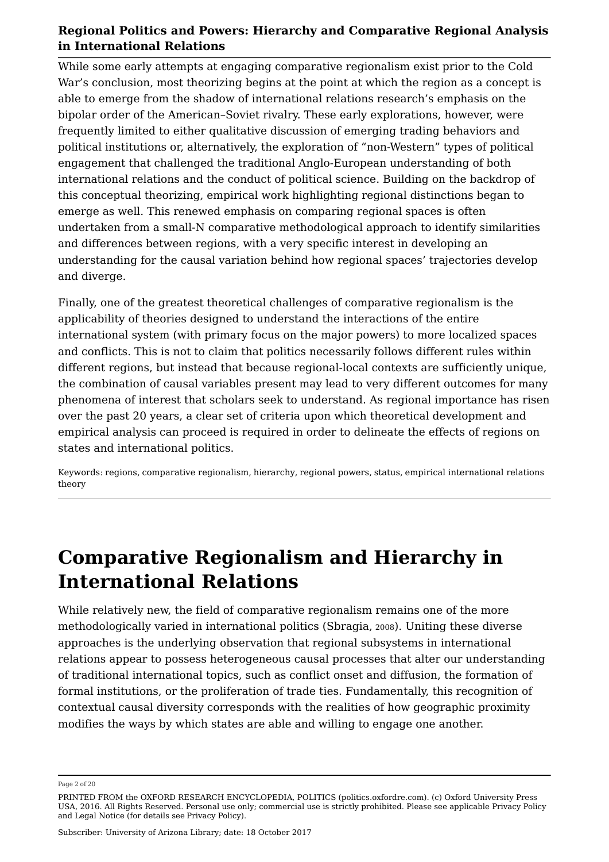While some early attempts at engaging comparative regionalism exist prior to the Cold War's conclusion, most theorizing begins at the point at which the region as a concept is able to emerge from the shadow of international relations research's emphasis on the bipolar order of the American–Soviet rivalry. These early explorations, however, were frequently limited to either qualitative discussion of emerging trading behaviors and political institutions or, alternatively, the exploration of "non-Western" types of political engagement that challenged the traditional Anglo-European understanding of both international relations and the conduct of political science. Building on the backdrop of this conceptual theorizing, empirical work highlighting regional distinctions began to emerge as well. This renewed emphasis on comparing regional spaces is often undertaken from a small-N comparative methodological approach to identify similarities and differences between regions, with a very specific interest in developing an understanding for the causal variation behind how regional spaces' trajectories develop and diverge.

Finally, one of the greatest theoretical challenges of comparative regionalism is the applicability of theories designed to understand the interactions of the entire international system (with primary focus on the major powers) to more localized spaces and conflicts. This is not to claim that politics necessarily follows different rules within different regions, but instead that because regional-local contexts are sufficiently unique, the combination of causal variables present may lead to very different outcomes for many phenomena of interest that scholars seek to understand. As regional importance has risen over the past 20 years, a clear set of criteria upon which theoretical development and empirical analysis can proceed is required in order to delineate the effects of regions on states and international politics.

Keywords: regions, comparative regionalism, hierarchy, regional powers, status, empirical international relations theory

# **Comparative Regionalism and Hierarchy in International Relations**

While relatively new, the field of comparative regionalism remains one of the more methodologically varied in international politics (Sbragia, <sup>2008</sup>). Uniting these diverse approaches is the underlying observation that regional subsystems in international relations appear to possess heterogeneous causal processes that alter our understanding of traditional international topics, such as conflict onset and diffusion, the formation of formal institutions, or the proliferation of trade ties. Fundamentally, this recognition of contextual causal diversity corresponds with the realities of how geographic proximity modifies the ways by which states are able and willing to engage one another.

Page 2 of 20

PRINTED FROM the OXFORD RESEARCH ENCYCLOPEDIA, POLITICS (politics.oxfordre.com). (c) Oxford University Press USA, 2016. All Rights Reserved. Personal use only; commercial use is strictly prohibited. Please see applicable Privacy Policy and Legal Notice (for details see Privacy Policy).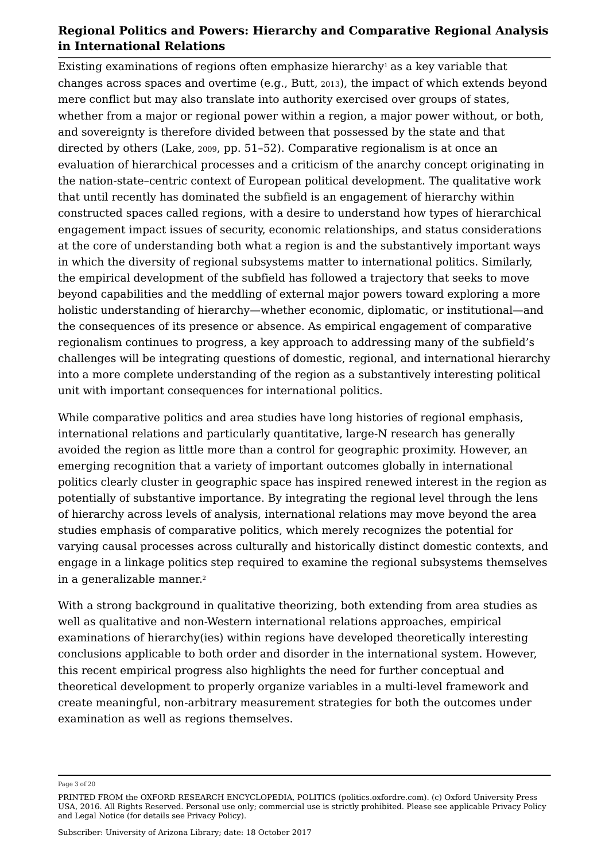Existing examinations of regions often emphasize hierarchy $^{\rm _{1}}$  as a key variable that changes across spaces and overtime (e.g., Butt, <sup>2013</sup>), the impact of which extends beyond mere conflict but may also translate into authority exercised over groups of states, whether from a major or regional power within a region, a major power without, or both, and sovereignty is therefore divided between that possessed by the state and that directed by others (Lake, <sup>2009</sup>, pp. 51–52). Comparative regionalism is at once an evaluation of hierarchical processes and a criticism of the anarchy concept originating in the nation-state–centric context of European political development. The qualitative work that until recently has dominated the subfield is an engagement of hierarchy within constructed spaces called regions, with a desire to understand how types of hierarchical engagement impact issues of security, economic relationships, and status considerations at the core of understanding both what a region is and the substantively important ways in which the diversity of regional subsystems matter to international politics. Similarly, the empirical development of the subfield has followed a trajectory that seeks to move beyond capabilities and the meddling of external major powers toward exploring a more holistic understanding of hierarchy—whether economic, diplomatic, or institutional—and the consequences of its presence or absence. As empirical engagement of comparative regionalism continues to progress, a key approach to addressing many of the subfield's challenges will be integrating questions of domestic, regional, and international hierarchy into a more complete understanding of the region as a substantively interesting political unit with important consequences for international politics.

While comparative politics and area studies have long histories of regional emphasis, international relations and particularly quantitative, large-N research has generally avoided the region as little more than a control for geographic proximity. However, an emerging recognition that a variety of important outcomes globally in international politics clearly cluster in geographic space has inspired renewed interest in the region as potentially of substantive importance. By integrating the regional level through the lens of hierarchy across levels of analysis, international relations may move beyond the area studies emphasis of comparative politics, which merely recognizes the potential for varying causal processes across culturally and historically distinct domestic contexts, and engage in a linkage politics step required to examine the regional subsystems themselves in a generalizable manner. 2

With a strong background in qualitative theorizing, both extending from area studies as well as qualitative and non-Western international relations approaches, empirical examinations of hierarchy(ies) within regions have developed theoretically interesting conclusions applicable to both order and disorder in the international system. However, this recent empirical progress also highlights the need for further conceptual and theoretical development to properly organize variables in a multi-level framework and create meaningful, non-arbitrary measurement strategies for both the outcomes under examination as well as regions themselves.

Page 3 of 20

PRINTED FROM the OXFORD RESEARCH ENCYCLOPEDIA, POLITICS (politics.oxfordre.com). (c) Oxford University Press USA, 2016. All Rights Reserved. Personal use only; commercial use is strictly prohibited. Please see applicable Privacy Policy and Legal Notice (for details see Privacy Policy).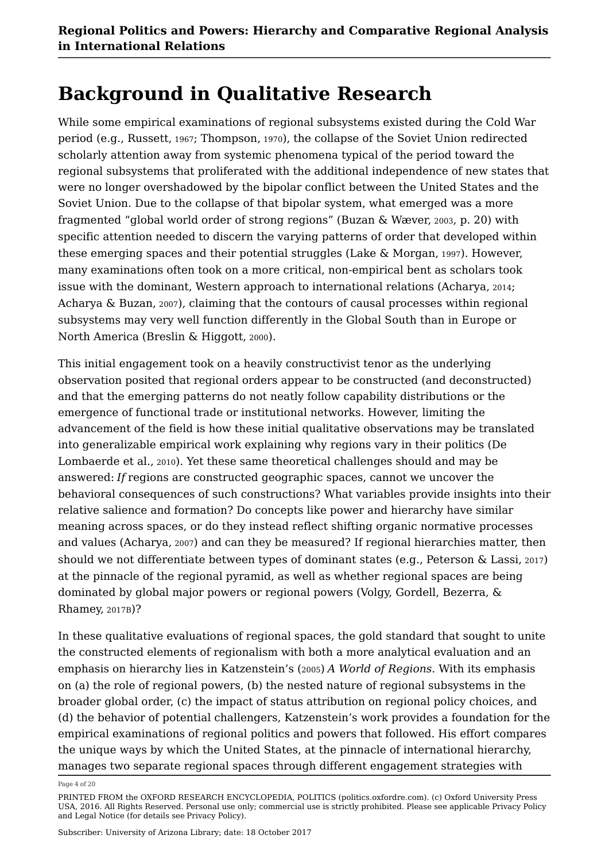# **Background in Qualitative Research**

While some empirical examinations of regional subsystems existed during the Cold War period (e.g., Russett, <sup>1967</sup>; Thompson, <sup>1970</sup>), the collapse of the Soviet Union redirected scholarly attention away from systemic phenomena typical of the period toward the regional subsystems that proliferated with the additional independence of new states that were no longer overshadowed by the bipolar conflict between the United States and the Soviet Union. Due to the collapse of that bipolar system, what emerged was a more fragmented "global world order of strong regions" (Buzan & Wæver, <sup>2003</sup>, p. 20) with specific attention needed to discern the varying patterns of order that developed within these emerging spaces and their potential struggles (Lake & Morgan, <sup>1997</sup>). However, many examinations often took on a more critical, non-empirical bent as scholars took issue with the dominant, Western approach to international relations (Acharya, <sup>2014</sup>; Acharya & Buzan, <sup>2007</sup>), claiming that the contours of causal processes within regional subsystems may very well function differently in the Global South than in Europe or North America (Breslin & Higgott, 2000).

This initial engagement took on a heavily constructivist tenor as the underlying observation posited that regional orders appear to be constructed (and deconstructed) and that the emerging patterns do not neatly follow capability distributions or the emergence of functional trade or institutional networks. However, limiting the advancement of the field is how these initial qualitative observations may be translated into generalizable empirical work explaining why regions vary in their politics (De Lombaerde et al., 2010). Yet these same theoretical challenges should and may be answered: *If* regions are constructed geographic spaces, cannot we uncover the behavioral consequences of such constructions? What variables provide insights into their relative salience and formation? Do concepts like power and hierarchy have similar meaning across spaces, or do they instead reflect shifting organic normative processes and values (Acharya, 2007) and can they be measured? If regional hierarchies matter, then should we not differentiate between types of dominant states (e.g., Peterson & Lassi, 2017) at the pinnacle of the regional pyramid, as well as whether regional spaces are being dominated by global major powers or regional powers (Volgy, Gordell, Bezerra, & Rhamey, 2017B)?

In these qualitative evaluations of regional spaces, the gold standard that sought to unite the constructed elements of regionalism with both a more analytical evaluation and an emphasis on hierarchy lies in Katzenstein's (2005) *A World of Regions*. With its emphasis on (a) the role of regional powers, (b) the nested nature of regional subsystems in the broader global order, (c) the impact of status attribution on regional policy choices, and (d) the behavior of potential challengers, Katzenstein's work provides a foundation for the empirical examinations of regional politics and powers that followed. His effort compares the unique ways by which the United States, at the pinnacle of international hierarchy, manages two separate regional spaces through different engagement strategies with

Page 4 of 20

PRINTED FROM the OXFORD RESEARCH ENCYCLOPEDIA, POLITICS (politics.oxfordre.com). (c) Oxford University Press USA, 2016. All Rights Reserved. Personal use only; commercial use is strictly prohibited. Please see applicable Privacy Policy and Legal Notice (for details see Privacy Policy).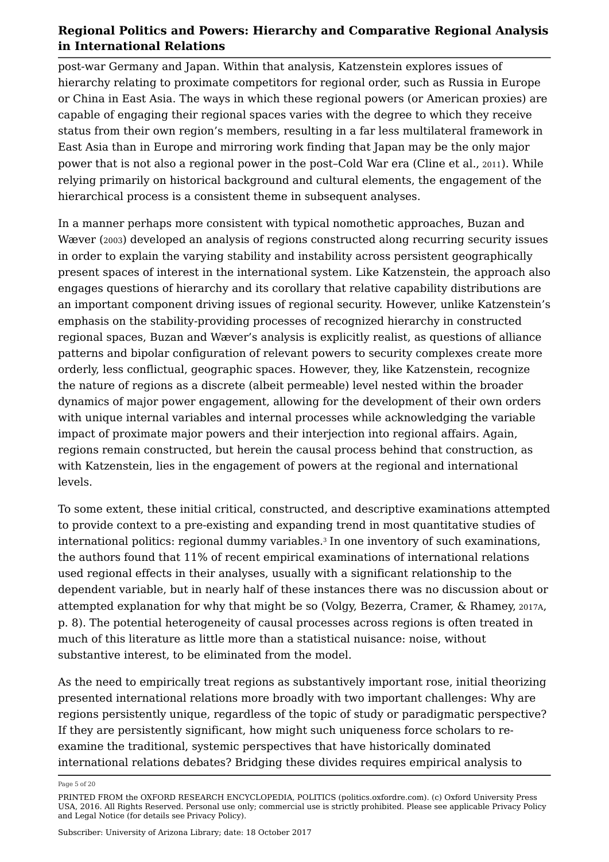post-war Germany and Japan. Within that analysis, Katzenstein explores issues of hierarchy relating to proximate competitors for regional order, such as Russia in Europe or China in East Asia. The ways in which these regional powers (or American proxies) are capable of engaging their regional spaces varies with the degree to which they receive status from their own region's members, resulting in a far less multilateral framework in East Asia than in Europe and mirroring work finding that Japan may be the only major power that is not also a regional power in the post–Cold War era (Cline et al., <sup>2011</sup>). While relying primarily on historical background and cultural elements, the engagement of the hierarchical process is a consistent theme in subsequent analyses.

In a manner perhaps more consistent with typical nomothetic approaches, Buzan and Wæver (2003) developed an analysis of regions constructed along recurring security issues in order to explain the varying stability and instability across persistent geographically present spaces of interest in the international system. Like Katzenstein, the approach also engages questions of hierarchy and its corollary that relative capability distributions are an important component driving issues of regional security. However, unlike Katzenstein's emphasis on the stability-providing processes of recognized hierarchy in constructed regional spaces, Buzan and Wæver's analysis is explicitly realist, as questions of alliance patterns and bipolar configuration of relevant powers to security complexes create more orderly, less conflictual, geographic spaces. However, they, like Katzenstein, recognize the nature of regions as a discrete (albeit permeable) level nested within the broader dynamics of major power engagement, allowing for the development of their own orders with unique internal variables and internal processes while acknowledging the variable impact of proximate major powers and their interjection into regional affairs. Again, regions remain constructed, but herein the causal process behind that construction, as with Katzenstein, lies in the engagement of powers at the regional and international levels.

To some extent, these initial critical, constructed, and descriptive examinations attempted to provide context to a pre-existing and expanding trend in most quantitative studies of international politics: regional dummy variables. $^{\rm 3}$  In one inventory of such examinations, the authors found that 11% of recent empirical examinations of international relations used regional effects in their analyses, usually with a significant relationship to the dependent variable, but in nearly half of these instances there was no discussion about or attempted explanation for why that might be so (Volgy, Bezerra, Cramer, & Rhamey, 2017A, p. 8). The potential heterogeneity of causal processes across regions is often treated in much of this literature as little more than a statistical nuisance: noise, without substantive interest, to be eliminated from the model.

As the need to empirically treat regions as substantively important rose, initial theorizing presented international relations more broadly with two important challenges: Why are regions persistently unique, regardless of the topic of study or paradigmatic perspective? If they are persistently significant, how might such uniqueness force scholars to reexamine the traditional, systemic perspectives that have historically dominated international relations debates? Bridging these divides requires empirical analysis to

Page 5 of 20

PRINTED FROM the OXFORD RESEARCH ENCYCLOPEDIA, POLITICS (politics.oxfordre.com). (c) Oxford University Press USA, 2016. All Rights Reserved. Personal use only; commercial use is strictly prohibited. Please see applicable Privacy Policy and Legal Notice (for details see Privacy Policy).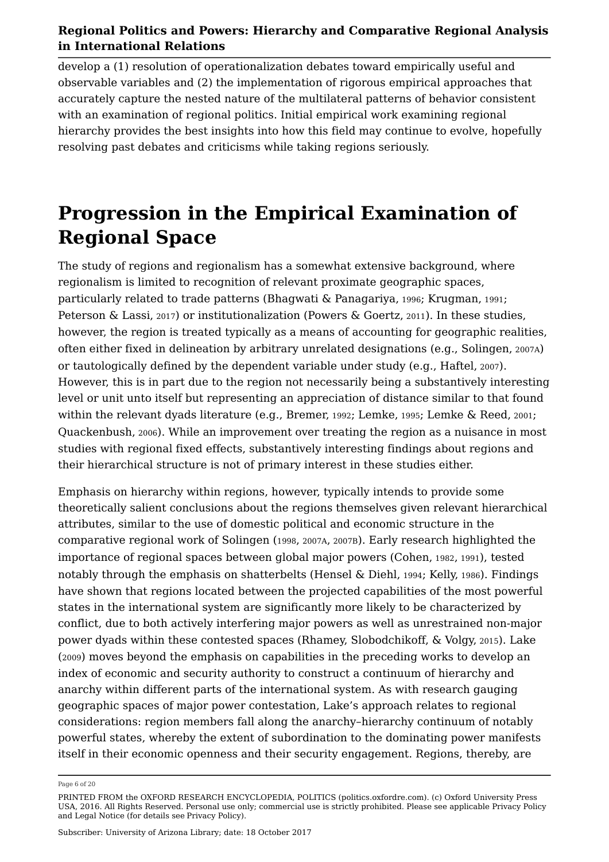develop a (1) resolution of operationalization debates toward empirically useful and observable variables and (2) the implementation of rigorous empirical approaches that accurately capture the nested nature of the multilateral patterns of behavior consistent with an examination of regional politics. Initial empirical work examining regional hierarchy provides the best insights into how this field may continue to evolve, hopefully resolving past debates and criticisms while taking regions seriously.

# **Progression in the Empirical Examination of Regional Space**

The study of regions and regionalism has a somewhat extensive background, where regionalism is limited to recognition of relevant proximate geographic spaces, particularly related to trade patterns (Bhagwati & Panagariya, <sup>1996</sup>; Krugman, <sup>1991</sup>; Peterson & Lassi, <sup>2017</sup>) or institutionalization (Powers & Goertz, <sup>2011</sup>). In these studies, however, the region is treated typically as a means of accounting for geographic realities, often either fixed in delineation by arbitrary unrelated designations (e.g., Solingen, 2007A) or tautologically defined by the dependent variable under study (e.g., Haftel, 2007). However, this is in part due to the region not necessarily being a substantively interesting level or unit unto itself but representing an appreciation of distance similar to that found within the relevant dyads literature (e.g., Bremer, 1992; Lemke, 1995; Lemke & Reed, 2001; Quackenbush, 2006). While an improvement over treating the region as a nuisance in most studies with regional fixed effects, substantively interesting findings about regions and their hierarchical structure is not of primary interest in these studies either.

Emphasis on hierarchy within regions, however, typically intends to provide some theoretically salient conclusions about the regions themselves given relevant hierarchical attributes, similar to the use of domestic political and economic structure in the comparative regional work of Solingen (1998, 2007A, 2007B). Early research highlighted the importance of regional spaces between global major powers (Cohen, 1982, 1991), tested notably through the emphasis on shatterbelts (Hensel & Diehl, 1994; Kelly, 1986). Findings have shown that regions located between the projected capabilities of the most powerful states in the international system are significantly more likely to be characterized by conflict, due to both actively interfering major powers as well as unrestrained non-major power dyads within these contested spaces (Rhamey, Slobodchikoff, & Volgy, <sup>2015</sup>). Lake (2009) moves beyond the emphasis on capabilities in the preceding works to develop an index of economic and security authority to construct a continuum of hierarchy and anarchy within different parts of the international system. As with research gauging geographic spaces of major power contestation, Lake's approach relates to regional considerations: region members fall along the anarchy–hierarchy continuum of notably powerful states, whereby the extent of subordination to the dominating power manifests itself in their economic openness and their security engagement. Regions, thereby, are

Page 6 of 20

PRINTED FROM the OXFORD RESEARCH ENCYCLOPEDIA, POLITICS (politics.oxfordre.com). (c) Oxford University Press USA, 2016. All Rights Reserved. Personal use only; commercial use is strictly prohibited. Please see applicable Privacy Policy and Legal Notice (for details see Privacy Policy).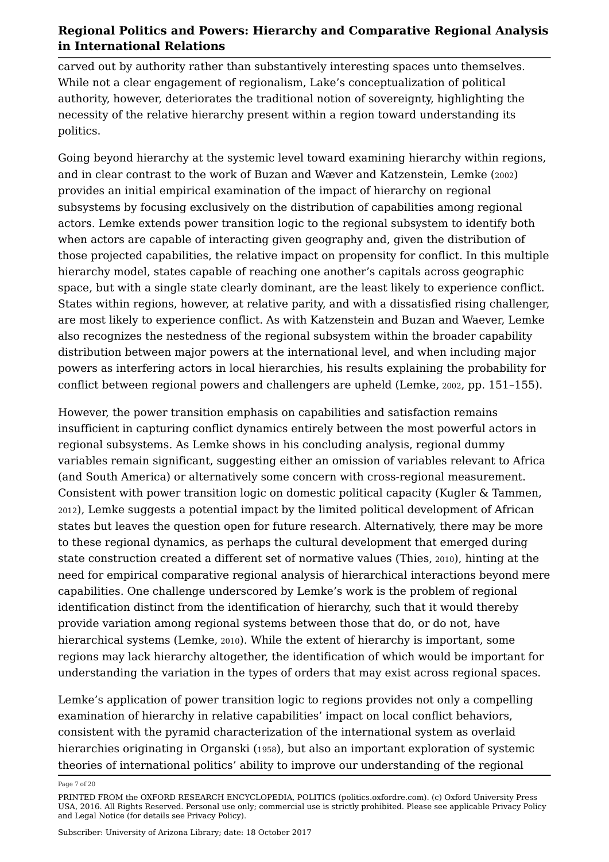carved out by authority rather than substantively interesting spaces unto themselves. While not a clear engagement of regionalism, Lake's conceptualization of political authority, however, deteriorates the traditional notion of sovereignty, highlighting the necessity of the relative hierarchy present within a region toward understanding its politics.

Going beyond hierarchy at the systemic level toward examining hierarchy within regions, and in clear contrast to the work of Buzan and Wæver and Katzenstein, Lemke (2002) provides an initial empirical examination of the impact of hierarchy on regional subsystems by focusing exclusively on the distribution of capabilities among regional actors. Lemke extends power transition logic to the regional subsystem to identify both when actors are capable of interacting given geography and, given the distribution of those projected capabilities, the relative impact on propensity for conflict. In this multiple hierarchy model, states capable of reaching one another's capitals across geographic space, but with a single state clearly dominant, are the least likely to experience conflict. States within regions, however, at relative parity, and with a dissatisfied rising challenger, are most likely to experience conflict. As with Katzenstein and Buzan and Waever, Lemke also recognizes the nestedness of the regional subsystem within the broader capability distribution between major powers at the international level, and when including major powers as interfering actors in local hierarchies, his results explaining the probability for conflict between regional powers and challengers are upheld (Lemke, 2002, pp. 151–155).

However, the power transition emphasis on capabilities and satisfaction remains insufficient in capturing conflict dynamics entirely between the most powerful actors in regional subsystems. As Lemke shows in his concluding analysis, regional dummy variables remain significant, suggesting either an omission of variables relevant to Africa (and South America) or alternatively some concern with cross-regional measurement. Consistent with power transition logic on domestic political capacity (Kugler & Tammen, 2012), Lemke suggests a potential impact by the limited political development of African states but leaves the question open for future research. Alternatively, there may be more to these regional dynamics, as perhaps the cultural development that emerged during state construction created a different set of normative values (Thies, 2010), hinting at the need for empirical comparative regional analysis of hierarchical interactions beyond mere capabilities. One challenge underscored by Lemke's work is the problem of regional identification distinct from the identification of hierarchy, such that it would thereby provide variation among regional systems between those that do, or do not, have hierarchical systems (Lemke, <sup>2010</sup>). While the extent of hierarchy is important, some regions may lack hierarchy altogether, the identification of which would be important for understanding the variation in the types of orders that may exist across regional spaces.

Lemke's application of power transition logic to regions provides not only a compelling examination of hierarchy in relative capabilities' impact on local conflict behaviors, consistent with the pyramid characterization of the international system as overlaid hierarchies originating in Organski (1958), but also an important exploration of systemic theories of international politics' ability to improve our understanding of the regional

Page 7 of 20

PRINTED FROM the OXFORD RESEARCH ENCYCLOPEDIA, POLITICS (politics.oxfordre.com). (c) Oxford University Press USA, 2016. All Rights Reserved. Personal use only; commercial use is strictly prohibited. Please see applicable Privacy Policy and Legal Notice (for details see Privacy Policy).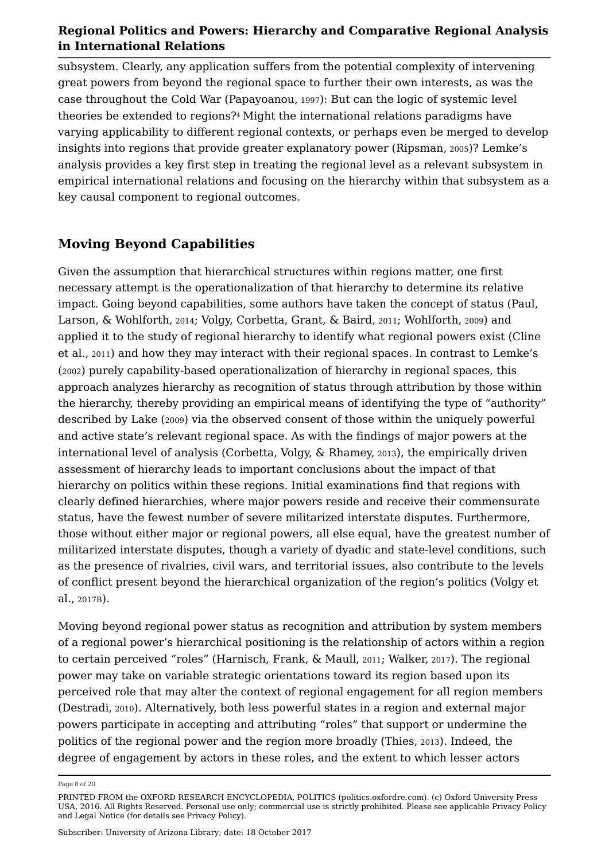subsystem. Clearly, any application suffers from the potential complexity of intervening great powers from beyond the regional space to further their own interests, as was the case throughout the Cold War (Papayoanou, <sup>1997</sup>): But can the logic of systemic level theories be extended to regions?4 Might the international relations paradigms have varying applicability to different regional contexts, or perhaps even be merged to develop insights into regions that provide greater explanatory power (Ripsman, <sup>2005</sup>)? Lemke's analysis provides a key first step in treating the regional level as a relevant subsystem in empirical international relations and focusing on the hierarchy within that subsystem as a key causal component to regional outcomes.

### **Moving Beyond Capabilities**

Given the assumption that hierarchical structures within regions matter, one first necessary attempt is the operationalization of that hierarchy to determine its relative impact. Going beyond capabilities, some authors have taken the concept of status (Paul, Larson, & Wohlforth, <sup>2014</sup>; Volgy, Corbetta, Grant, & Baird, <sup>2011</sup>; Wohlforth, <sup>2009</sup>) and applied it to the study of regional hierarchy to identify what regional powers exist (Cline et al., 2011) and how they may interact with their regional spaces. In contrast to Lemke's (2002) purely capability-based operationalization of hierarchy in regional spaces, this approach analyzes hierarchy as recognition of status through attribution by those within the hierarchy, thereby providing an empirical means of identifying the type of "authority" described by Lake (2009) via the observed consent of those within the uniquely powerful and active state's relevant regional space. As with the findings of major powers at the international level of analysis (Corbetta, Volgy, & Rhamey, 2013), the empirically driven assessment of hierarchy leads to important conclusions about the impact of that hierarchy on politics within these regions. Initial examinations find that regions with clearly defined hierarchies, where major powers reside and receive their commensurate status, have the fewest number of severe militarized interstate disputes. Furthermore, those without either major or regional powers, all else equal, have the greatest number of militarized interstate disputes, though a variety of dyadic and state-level conditions, such as the presence of rivalries, civil wars, and territorial issues, also contribute to the levels of conflict present beyond the hierarchical organization of the region's politics (Volgy et al., 2017B).

Moving beyond regional power status as recognition and attribution by system members of a regional power's hierarchical positioning is the relationship of actors within a region to certain perceived "roles" (Harnisch, Frank, & Maull, <sup>2011</sup>; Walker, <sup>2017</sup>). The regional power may take on variable strategic orientations toward its region based upon its perceived role that may alter the context of regional engagement for all region members (Destradi, <sup>2010</sup>). Alternatively, both less powerful states in a region and external major powers participate in accepting and attributing "roles" that support or undermine the politics of the regional power and the region more broadly (Thies, <sup>2013</sup>). Indeed, the degree of engagement by actors in these roles, and the extent to which lesser actors

Page 8 of 20

PRINTED FROM the OXFORD RESEARCH ENCYCLOPEDIA, POLITICS (politics.oxfordre.com). (c) Oxford University Press USA, 2016. All Rights Reserved. Personal use only; commercial use is strictly prohibited. Please see applicable Privacy Policy and Legal Notice (for details see Privacy Policy).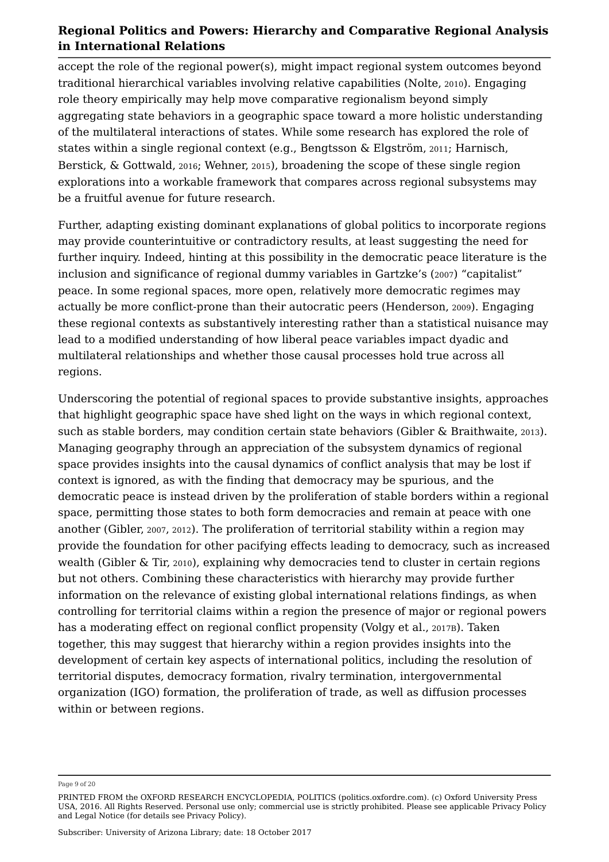accept the role of the regional power(s), might impact regional system outcomes beyond traditional hierarchical variables involving relative capabilities (Nolte, <sup>2010</sup>). Engaging role theory empirically may help move comparative regionalism beyond simply aggregating state behaviors in a geographic space toward a more holistic understanding of the multilateral interactions of states. While some research has explored the role of states within a single regional context (e.g., Bengtsson & Elgström, <sup>2011</sup>; Harnisch, Berstick, & Gottwald, <sup>2016</sup>; Wehner, <sup>2015</sup>), broadening the scope of these single region explorations into a workable framework that compares across regional subsystems may be a fruitful avenue for future research.

Further, adapting existing dominant explanations of global politics to incorporate regions may provide counterintuitive or contradictory results, at least suggesting the need for further inquiry. Indeed, hinting at this possibility in the democratic peace literature is the inclusion and significance of regional dummy variables in Gartzke's (2007) "capitalist" peace. In some regional spaces, more open, relatively more democratic regimes may actually be more conflict-prone than their autocratic peers (Henderson, <sup>2009</sup>). Engaging these regional contexts as substantively interesting rather than a statistical nuisance may lead to a modified understanding of how liberal peace variables impact dyadic and multilateral relationships and whether those causal processes hold true across all regions.

Underscoring the potential of regional spaces to provide substantive insights, approaches that highlight geographic space have shed light on the ways in which regional context, such as stable borders, may condition certain state behaviors (Gibler & Braithwaite, 2013). Managing geography through an appreciation of the subsystem dynamics of regional space provides insights into the causal dynamics of conflict analysis that may be lost if context is ignored, as with the finding that democracy may be spurious, and the democratic peace is instead driven by the proliferation of stable borders within a regional space, permitting those states to both form democracies and remain at peace with one another (Gibler, 2007, 2012). The proliferation of territorial stability within a region may provide the foundation for other pacifying effects leading to democracy, such as increased wealth (Gibler & Tir, 2010), explaining why democracies tend to cluster in certain regions but not others. Combining these characteristics with hierarchy may provide further information on the relevance of existing global international relations findings, as when controlling for territorial claims within a region the presence of major or regional powers has a moderating effect on regional conflict propensity (Volgy et al., 2017B). Taken together, this may suggest that hierarchy within a region provides insights into the development of certain key aspects of international politics, including the resolution of territorial disputes, democracy formation, rivalry termination, intergovernmental organization (IGO) formation, the proliferation of trade, as well as diffusion processes within or between regions.

Page 9 of 20

PRINTED FROM the OXFORD RESEARCH ENCYCLOPEDIA, POLITICS (politics.oxfordre.com). (c) Oxford University Press USA, 2016. All Rights Reserved. Personal use only; commercial use is strictly prohibited. Please see applicable Privacy Policy and Legal Notice (for details see Privacy Policy).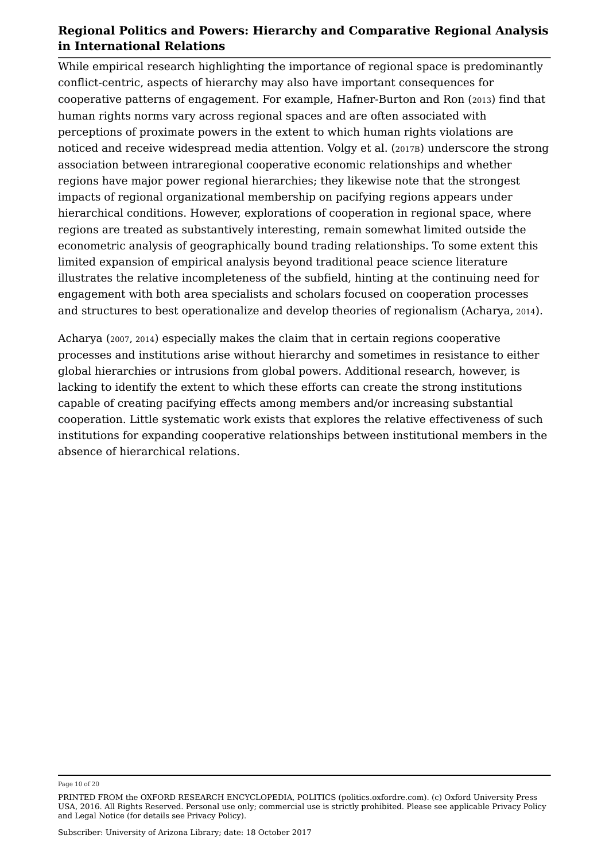While empirical research highlighting the importance of regional space is predominantly conflict-centric, aspects of hierarchy may also have important consequences for cooperative patterns of engagement. For example, Hafner-Burton and Ron (2013) find that human rights norms vary across regional spaces and are often associated with perceptions of proximate powers in the extent to which human rights violations are noticed and receive widespread media attention. Volgy et al. (2017B) underscore the strong association between intraregional cooperative economic relationships and whether regions have major power regional hierarchies; they likewise note that the strongest impacts of regional organizational membership on pacifying regions appears under hierarchical conditions. However, explorations of cooperation in regional space, where regions are treated as substantively interesting, remain somewhat limited outside the econometric analysis of geographically bound trading relationships. To some extent this limited expansion of empirical analysis beyond traditional peace science literature illustrates the relative incompleteness of the subfield, hinting at the continuing need for engagement with both area specialists and scholars focused on cooperation processes and structures to best operationalize and develop theories of regionalism (Acharya, <sup>2014</sup>).

Acharya (2007, 2014) especially makes the claim that in certain regions cooperative processes and institutions arise without hierarchy and sometimes in resistance to either global hierarchies or intrusions from global powers. Additional research, however, is lacking to identify the extent to which these efforts can create the strong institutions capable of creating pacifying effects among members and/or increasing substantial cooperation. Little systematic work exists that explores the relative effectiveness of such institutions for expanding cooperative relationships between institutional members in the absence of hierarchical relations.

Page 10 of 20

PRINTED FROM the OXFORD RESEARCH ENCYCLOPEDIA, POLITICS (politics.oxfordre.com). (c) Oxford University Press USA, 2016. All Rights Reserved. Personal use only; commercial use is strictly prohibited. Please see applicable Privacy Policy and Legal Notice (for details see Privacy Policy).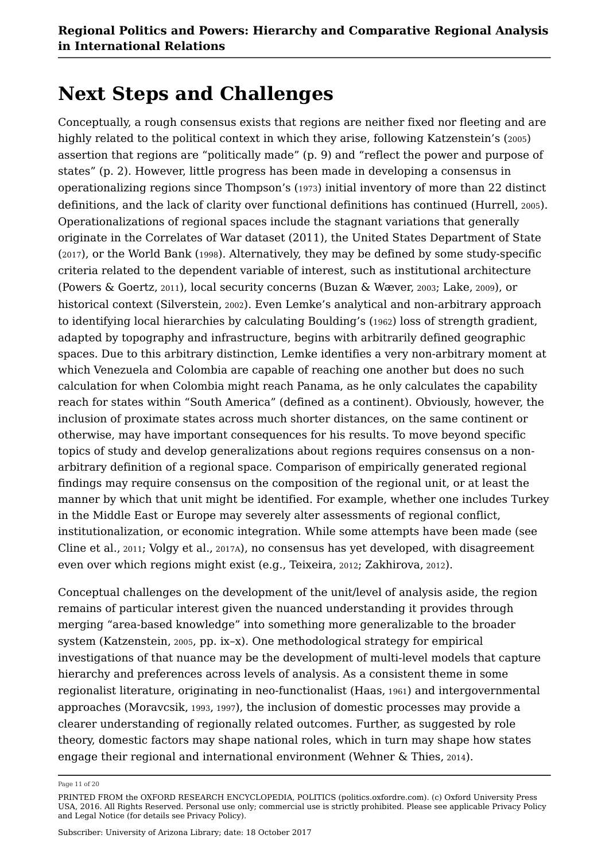# **Next Steps and Challenges**

Conceptually, a rough consensus exists that regions are neither fixed nor fleeting and are highly related to the political context in which they arise, following Katzenstein's (2005) assertion that regions are "politically made" (p. 9) and "reflect the power and purpose of states" (p. 2). However, little progress has been made in developing a consensus in operationalizing regions since Thompson's (1973) initial inventory of more than 22 distinct definitions, and the lack of clarity over functional definitions has continued (Hurrell, <sup>2005</sup>). Operationalizations of regional spaces include the stagnant variations that generally originate in the Correlates of War dataset (2011), the United States Department of State (2017), or the World Bank (1998). Alternatively, they may be defined by some study-specific criteria related to the dependent variable of interest, such as institutional architecture (Powers & Goertz, <sup>2011</sup>), local security concerns (Buzan & Wæver, <sup>2003</sup>; Lake, <sup>2009</sup>), or historical context (Silverstein, <sup>2002</sup>). Even Lemke's analytical and non-arbitrary approach to identifying local hierarchies by calculating Boulding's (1962) loss of strength gradient, adapted by topography and infrastructure, begins with arbitrarily defined geographic spaces. Due to this arbitrary distinction, Lemke identifies a very non-arbitrary moment at which Venezuela and Colombia are capable of reaching one another but does no such calculation for when Colombia might reach Panama, as he only calculates the capability reach for states within "South America" (defined as a continent). Obviously, however, the inclusion of proximate states across much shorter distances, on the same continent or otherwise, may have important consequences for his results. To move beyond specific topics of study and develop generalizations about regions requires consensus on a nonarbitrary definition of a regional space. Comparison of empirically generated regional findings may require consensus on the composition of the regional unit, or at least the manner by which that unit might be identified. For example, whether one includes Turkey in the Middle East or Europe may severely alter assessments of regional conflict, institutionalization, or economic integration. While some attempts have been made (see Cline et al., 2011; Volgy et al., 2017A), no consensus has yet developed, with disagreement even over which regions might exist (e.g., Teixeira, 2012; Zakhirova, 2012).

Conceptual challenges on the development of the unit/level of analysis aside, the region remains of particular interest given the nuanced understanding it provides through merging "area-based knowledge" into something more generalizable to the broader system (Katzenstein, <sup>2005</sup>, pp. ix–x). One methodological strategy for empirical investigations of that nuance may be the development of multi-level models that capture hierarchy and preferences across levels of analysis. As a consistent theme in some regionalist literature, originating in neo-functionalist (Haas, <sup>1961</sup>) and intergovernmental approaches (Moravcsik, <sup>1993</sup>, <sup>1997</sup>), the inclusion of domestic processes may provide a clearer understanding of regionally related outcomes. Further, as suggested by role theory, domestic factors may shape national roles, which in turn may shape how states engage their regional and international environment (Wehner & Thies, <sup>2014</sup>).

Page 11 of 20

PRINTED FROM the OXFORD RESEARCH ENCYCLOPEDIA, POLITICS (politics.oxfordre.com). (c) Oxford University Press USA, 2016. All Rights Reserved. Personal use only; commercial use is strictly prohibited. Please see applicable Privacy Policy and Legal Notice (for details see Privacy Policy).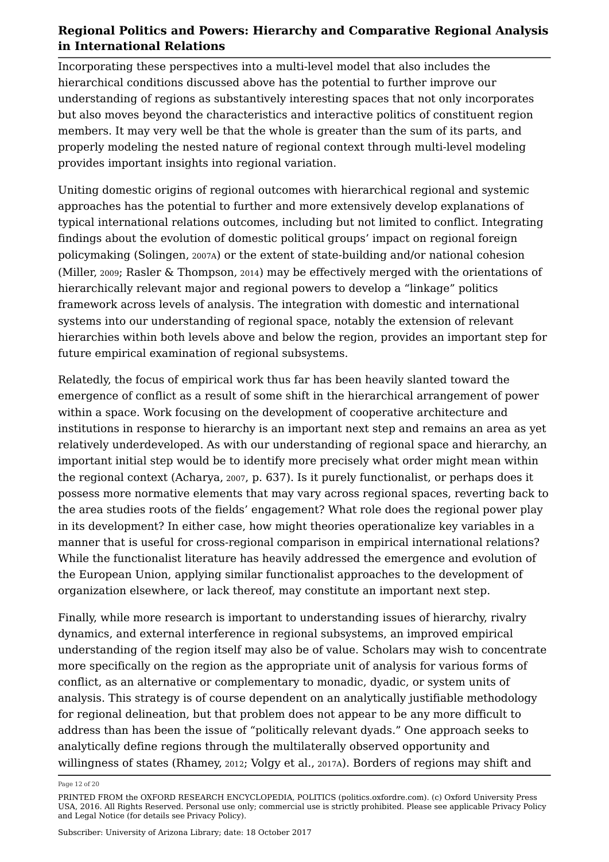Incorporating these perspectives into a multi-level model that also includes the hierarchical conditions discussed above has the potential to further improve our understanding of regions as substantively interesting spaces that not only incorporates but also moves beyond the characteristics and interactive politics of constituent region members. It may very well be that the whole is greater than the sum of its parts, and properly modeling the nested nature of regional context through multi-level modeling provides important insights into regional variation.

Uniting domestic origins of regional outcomes with hierarchical regional and systemic approaches has the potential to further and more extensively develop explanations of typical international relations outcomes, including but not limited to conflict. Integrating findings about the evolution of domestic political groups' impact on regional foreign policymaking (Solingen, 2007A) or the extent of state-building and/or national cohesion (Miller, <sup>2009</sup>; Rasler & Thompson, <sup>2014</sup>) may be effectively merged with the orientations of hierarchically relevant major and regional powers to develop a "linkage" politics framework across levels of analysis. The integration with domestic and international systems into our understanding of regional space, notably the extension of relevant hierarchies within both levels above and below the region, provides an important step for future empirical examination of regional subsystems.

Relatedly, the focus of empirical work thus far has been heavily slanted toward the emergence of conflict as a result of some shift in the hierarchical arrangement of power within a space. Work focusing on the development of cooperative architecture and institutions in response to hierarchy is an important next step and remains an area as yet relatively underdeveloped. As with our understanding of regional space and hierarchy, an important initial step would be to identify more precisely what order might mean within the regional context (Acharya, 2007, p. 637). Is it purely functionalist, or perhaps does it possess more normative elements that may vary across regional spaces, reverting back to the area studies roots of the fields' engagement? What role does the regional power play in its development? In either case, how might theories operationalize key variables in a manner that is useful for cross-regional comparison in empirical international relations? While the functionalist literature has heavily addressed the emergence and evolution of the European Union, applying similar functionalist approaches to the development of organization elsewhere, or lack thereof, may constitute an important next step.

Finally, while more research is important to understanding issues of hierarchy, rivalry dynamics, and external interference in regional subsystems, an improved empirical understanding of the region itself may also be of value. Scholars may wish to concentrate more specifically on the region as the appropriate unit of analysis for various forms of conflict, as an alternative or complementary to monadic, dyadic, or system units of analysis. This strategy is of course dependent on an analytically justifiable methodology for regional delineation, but that problem does not appear to be any more difficult to address than has been the issue of "politically relevant dyads." One approach seeks to analytically define regions through the multilaterally observed opportunity and willingness of states (Rhamey, <sup>2012</sup>; Volgy et al., 2017A). Borders of regions may shift and

Page 12 of 20

PRINTED FROM the OXFORD RESEARCH ENCYCLOPEDIA, POLITICS (politics.oxfordre.com). (c) Oxford University Press USA, 2016. All Rights Reserved. Personal use only; commercial use is strictly prohibited. Please see applicable Privacy Policy and Legal Notice (for details see Privacy Policy).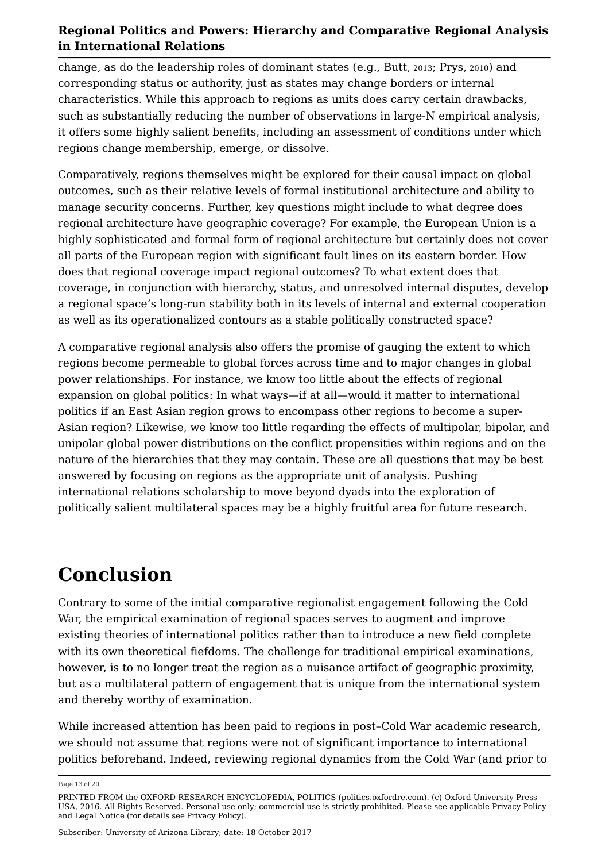change, as do the leadership roles of dominant states (e.g., Butt, <sup>2013</sup>; Prys, <sup>2010</sup>) and corresponding status or authority, just as states may change borders or internal characteristics. While this approach to regions as units does carry certain drawbacks, such as substantially reducing the number of observations in large-N empirical analysis, it offers some highly salient benefits, including an assessment of conditions under which regions change membership, emerge, or dissolve.

Comparatively, regions themselves might be explored for their causal impact on global outcomes, such as their relative levels of formal institutional architecture and ability to manage security concerns. Further, key questions might include to what degree does regional architecture have geographic coverage? For example, the European Union is a highly sophisticated and formal form of regional architecture but certainly does not cover all parts of the European region with significant fault lines on its eastern border. How does that regional coverage impact regional outcomes? To what extent does that coverage, in conjunction with hierarchy, status, and unresolved internal disputes, develop a regional space's long-run stability both in its levels of internal and external cooperation as well as its operationalized contours as a stable politically constructed space?

A comparative regional analysis also offers the promise of gauging the extent to which regions become permeable to global forces across time and to major changes in global power relationships. For instance, we know too little about the effects of regional expansion on global politics: In what ways—if at all—would it matter to international politics if an East Asian region grows to encompass other regions to become a super-Asian region? Likewise, we know too little regarding the effects of multipolar, bipolar, and unipolar global power distributions on the conflict propensities within regions and on the nature of the hierarchies that they may contain. These are all questions that may be best answered by focusing on regions as the appropriate unit of analysis. Pushing international relations scholarship to move beyond dyads into the exploration of politically salient multilateral spaces may be a highly fruitful area for future research.

# **Conclusion**

Contrary to some of the initial comparative regionalist engagement following the Cold War, the empirical examination of regional spaces serves to augment and improve existing theories of international politics rather than to introduce a new field complete with its own theoretical fiefdoms. The challenge for traditional empirical examinations, however, is to no longer treat the region as a nuisance artifact of geographic proximity, but as a multilateral pattern of engagement that is unique from the international system and thereby worthy of examination.

While increased attention has been paid to regions in post–Cold War academic research, we should not assume that regions were not of significant importance to international politics beforehand. Indeed, reviewing regional dynamics from the Cold War (and prior to

Page 13 of 20

PRINTED FROM the OXFORD RESEARCH ENCYCLOPEDIA, POLITICS (politics.oxfordre.com). (c) Oxford University Press USA, 2016. All Rights Reserved. Personal use only; commercial use is strictly prohibited. Please see applicable Privacy Policy and Legal Notice (for details see Privacy Policy).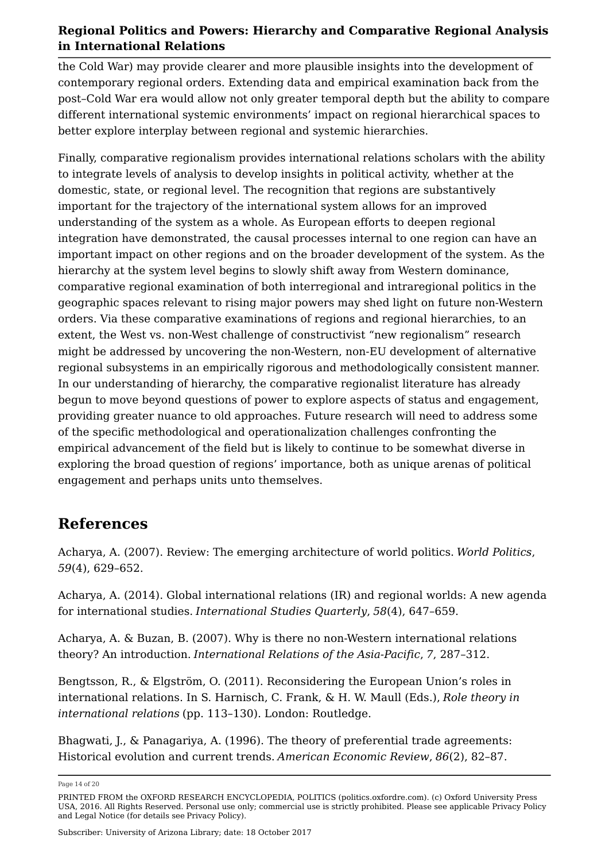the Cold War) may provide clearer and more plausible insights into the development of contemporary regional orders. Extending data and empirical examination back from the post–Cold War era would allow not only greater temporal depth but the ability to compare different international systemic environments' impact on regional hierarchical spaces to better explore interplay between regional and systemic hierarchies.

Finally, comparative regionalism provides international relations scholars with the ability to integrate levels of analysis to develop insights in political activity, whether at the domestic, state, or regional level. The recognition that regions are substantively important for the trajectory of the international system allows for an improved understanding of the system as a whole. As European efforts to deepen regional integration have demonstrated, the causal processes internal to one region can have an important impact on other regions and on the broader development of the system. As the hierarchy at the system level begins to slowly shift away from Western dominance, comparative regional examination of both interregional and intraregional politics in the geographic spaces relevant to rising major powers may shed light on future non-Western orders. Via these comparative examinations of regions and regional hierarchies, to an extent, the West vs. non-West challenge of constructivist "new regionalism" research might be addressed by uncovering the non-Western, non-EU development of alternative regional subsystems in an empirically rigorous and methodologically consistent manner. In our understanding of hierarchy, the comparative regionalist literature has already begun to move beyond questions of power to explore aspects of status and engagement, providing greater nuance to old approaches. Future research will need to address some of the specific methodological and operationalization challenges confronting the empirical advancement of the field but is likely to continue to be somewhat diverse in exploring the broad question of regions' importance, both as unique arenas of political engagement and perhaps units unto themselves.

### **References**

Acharya, A. (2007). Review: The emerging architecture of world politics. *World Politics*, *59*(4), 629–652.

Acharya, A. (2014). Global international relations (IR) and regional worlds: A new agenda for international studies. *International Studies Quarterly*, *58*(4), 647–659.

Acharya, A. & Buzan, B. (2007). Why is there no non-Western international relations theory? An introduction. *International Relations of the Asia-Pacific*, *7*, 287–312.

Bengtsson, R., & Elgström, O. (2011). Reconsidering the European Union's roles in international relations. In S. Harnisch, C. Frank, & H. W. Maull (Eds.), *Role theory in international relations* (pp. 113–130). London: Routledge.

Bhagwati, J., & Panagariya, A. (1996). The theory of preferential trade agreements: Historical evolution and current trends. *American Economic Review*, *86*(2), 82–87.

Page 14 of 20

PRINTED FROM the OXFORD RESEARCH ENCYCLOPEDIA, POLITICS (politics.oxfordre.com). (c) Oxford University Press USA, 2016. All Rights Reserved. Personal use only; commercial use is strictly prohibited. Please see applicable Privacy Policy and Legal Notice (for details see Privacy Policy).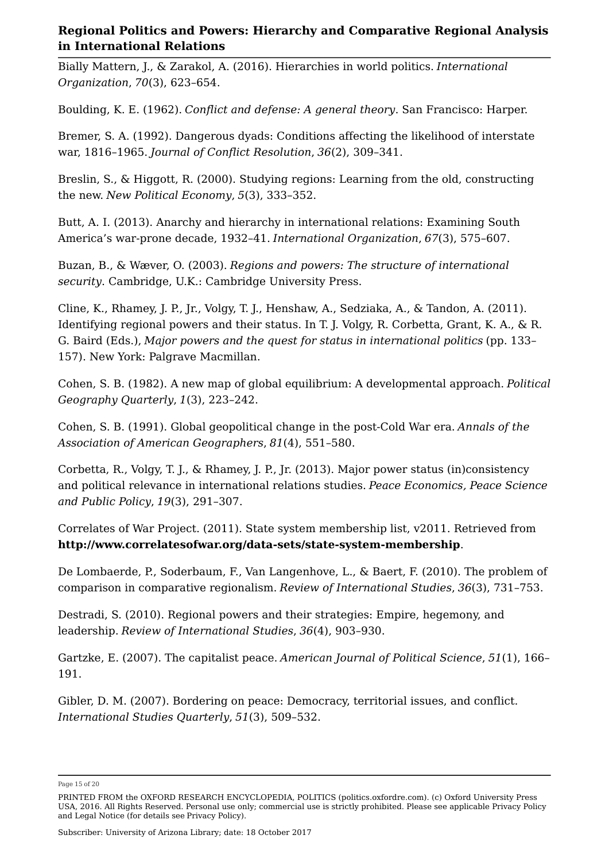Bially Mattern, J., & Zarakol, A. (2016). Hierarchies in world politics. *International Organization*, *70*(3), 623–654.

Boulding, K. E. (1962). *Conflict and defense: A general theory*. San Francisco: Harper.

Bremer, S. A. (1992). Dangerous dyads: Conditions affecting the likelihood of interstate war, 1816–1965. *Journal of Conflict Resolution*, *36*(2), 309–341.

Breslin, S., & Higgott, R. (2000). Studying regions: Learning from the old, constructing the new. *New Political Economy*, *5*(3), 333–352.

Butt, A. I. (2013). Anarchy and hierarchy in international relations: Examining South America's war-prone decade, 1932–41. *International Organization*, *67*(3), 575–607.

Buzan, B., & Wæver, O. (2003). *Regions and powers: The structure of international security*. Cambridge, U.K.: Cambridge University Press.

Cline, K., Rhamey, J. P., Jr., Volgy, T. J., Henshaw, A., Sedziaka, A., & Tandon, A. (2011). Identifying regional powers and their status. In T. J. Volgy, R. Corbetta, Grant, K. A., & R. G. Baird (Eds.), *Major powers and the quest for status in international politics* (pp. 133– 157). New York: Palgrave Macmillan.

Cohen, S. B. (1982). A new map of global equilibrium: A developmental approach. *Political Geography Quarterly*, *1*(3), 223–242.

Cohen, S. B. (1991). Global geopolitical change in the post-Cold War era. *Annals of the Association of American Geographers*, *81*(4), 551–580.

Corbetta, R., Volgy, T. J., & Rhamey, J. P., Jr. (2013). Major power status (in)consistency and political relevance in international relations studies. *Peace Economics, Peace Science and Public Policy*, *19*(3), 291–307.

Correlates of War Project. (2011). State system membership list, v2011. Retrieved from **http://www.correlatesofwar.org/data-sets/state-system-membership**.

De Lombaerde, P., Soderbaum, F., Van Langenhove, L., & Baert, F. (2010). The problem of comparison in comparative regionalism. *Review of International Studies*, *36*(3), 731–753.

Destradi, S. (2010). Regional powers and their strategies: Empire, hegemony, and leadership. *Review of International Studies*, *36*(4), 903–930.

Gartzke, E. (2007). The capitalist peace. *American Journal of Political Science*, *51*(1), 166– 191.

Gibler, D. M. (2007). Bordering on peace: Democracy, territorial issues, and conflict. *International Studies Quarterly*, *51*(3), 509–532.

Page 15 of 20

PRINTED FROM the OXFORD RESEARCH ENCYCLOPEDIA, POLITICS (politics.oxfordre.com). (c) Oxford University Press USA, 2016. All Rights Reserved. Personal use only; commercial use is strictly prohibited. Please see applicable Privacy Policy and Legal Notice (for details see Privacy Policy).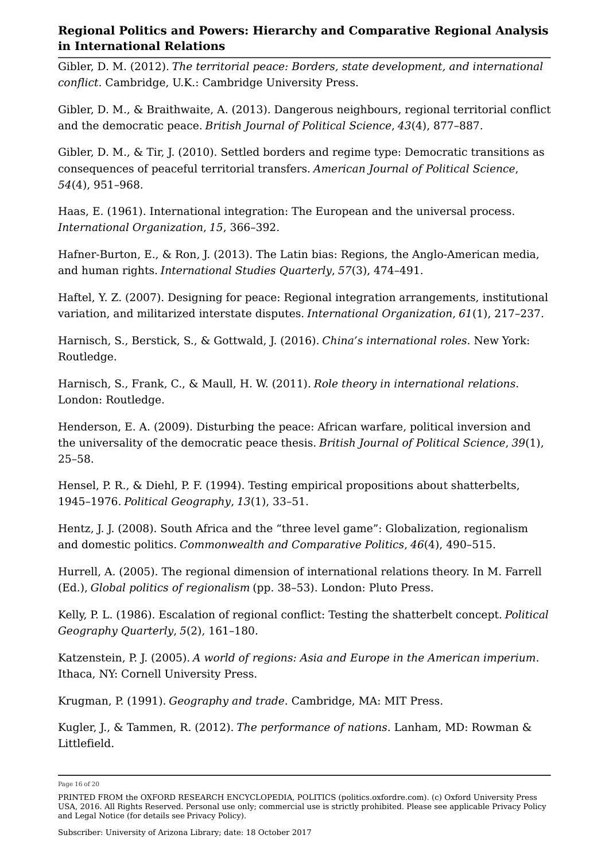Gibler, D. M. (2012). *The territorial peace: Borders, state development, and international conflict*. Cambridge, U.K.: Cambridge University Press.

Gibler, D. M., & Braithwaite, A. (2013). Dangerous neighbours, regional territorial conflict and the democratic peace. *British Journal of Political Science*, *43*(4), 877–887.

Gibler, D. M., & Tir, J. (2010). Settled borders and regime type: Democratic transitions as consequences of peaceful territorial transfers. *American Journal of Political Science*, *54*(4), 951–968.

Haas, E. (1961). International integration: The European and the universal process. *International Organization*, *15*, 366–392.

Hafner-Burton, E., & Ron, J. (2013). The Latin bias: Regions, the Anglo-American media, and human rights. *International Studies Quarterly*, *57*(3), 474–491.

Haftel, Y. Z. (2007). Designing for peace: Regional integration arrangements, institutional variation, and militarized interstate disputes. *International Organization*, *61*(1), 217–237.

Harnisch, S., Berstick, S., & Gottwald, J. (2016). *China's international roles*. New York: Routledge.

Harnisch, S., Frank, C., & Maull, H. W. (2011). *Role theory in international relations*. London: Routledge.

Henderson, E. A. (2009). Disturbing the peace: African warfare, political inversion and the universality of the democratic peace thesis. *British Journal of Political Science*, *39*(1), 25–58.

Hensel, P. R., & Diehl, P. F. (1994). Testing empirical propositions about shatterbelts, 1945–1976. *Political Geography*, *13*(1), 33–51.

Hentz, J. J. (2008). South Africa and the "three level game": Globalization, regionalism and domestic politics. *Commonwealth and Comparative Politics*, *46*(4), 490–515.

Hurrell, A. (2005). The regional dimension of international relations theory. In M. Farrell (Ed.), *Global politics of regionalism* (pp. 38–53). London: Pluto Press.

Kelly, P. L. (1986). Escalation of regional conflict: Testing the shatterbelt concept. *Political Geography Quarterly*, *5*(2), 161–180.

Katzenstein, P. J. (2005). *A world of regions: Asia and Europe in the American imperium*. Ithaca, NY: Cornell University Press.

Krugman, P. (1991). *Geography and trade*. Cambridge, MA: MIT Press.

Kugler, J., & Tammen, R. (2012). *The performance of nations*. Lanham, MD: Rowman & Littlefield.

Page 16 of 20

PRINTED FROM the OXFORD RESEARCH ENCYCLOPEDIA, POLITICS (politics.oxfordre.com). (c) Oxford University Press USA, 2016. All Rights Reserved. Personal use only; commercial use is strictly prohibited. Please see applicable Privacy Policy and Legal Notice (for details see Privacy Policy).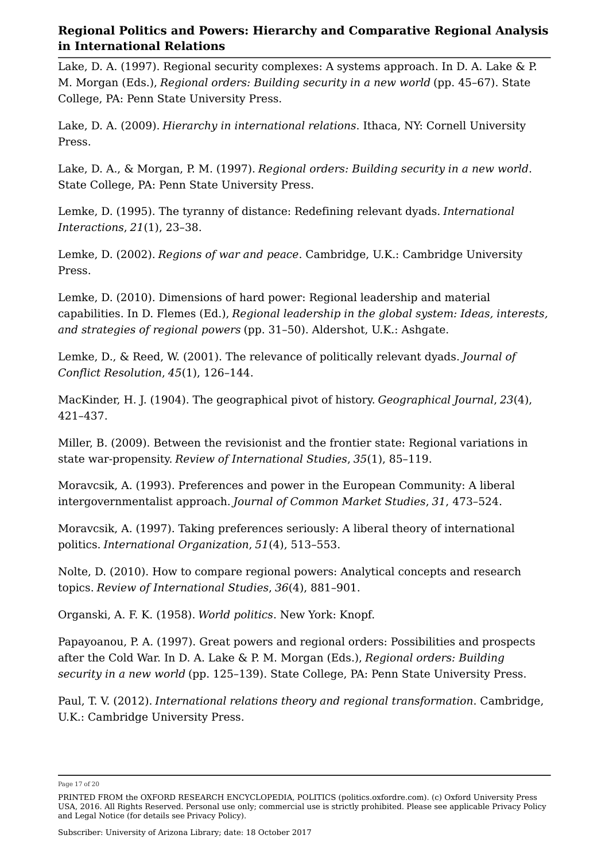Lake, D. A. (1997). Regional security complexes: A systems approach. In D. A. Lake & P. M. Morgan (Eds.), *Regional orders: Building security in a new world* (pp. 45–67). State College, PA: Penn State University Press.

Lake, D. A. (2009). *Hierarchy in international relations*. Ithaca, NY: Cornell University Press.

Lake, D. A., & Morgan, P. M. (1997). *Regional orders: Building security in a new world*. State College, PA: Penn State University Press.

Lemke, D. (1995). The tyranny of distance: Redefining relevant dyads. *International Interactions*, *21*(1), 23–38.

Lemke, D. (2002). *Regions of war and peace*. Cambridge, U.K.: Cambridge University Press.

Lemke, D. (2010). Dimensions of hard power: Regional leadership and material capabilities. In D. Flemes (Ed.), *Regional leadership in the global system: Ideas, interests, and strategies of regional powers* (pp. 31–50). Aldershot, U.K.: Ashgate.

Lemke, D., & Reed, W. (2001). The relevance of politically relevant dyads. *Journal of Conflict Resolution*, *45*(1), 126–144.

MacKinder, H. J. (1904). The geographical pivot of history. *Geographical Journal*, *23*(4), 421–437.

Miller, B. (2009). Between the revisionist and the frontier state: Regional variations in state war-propensity. *Review of International Studies*, *35*(1), 85–119.

Moravcsik, A. (1993). Preferences and power in the European Community: A liberal intergovernmentalist approach. *Journal of Common Market Studies*, *31*, 473–524.

Moravcsik, A. (1997). Taking preferences seriously: A liberal theory of international politics. *International Organization*, *51*(4), 513–553.

Nolte, D. (2010). How to compare regional powers: Analytical concepts and research topics. *Review of International Studies*, *36*(4), 881–901.

Organski, A. F. K. (1958). *World politics*. New York: Knopf.

Papayoanou, P. A. (1997). Great powers and regional orders: Possibilities and prospects after the Cold War. In D. A. Lake & P. M. Morgan (Eds.), *Regional orders: Building security in a new world* (pp. 125–139). State College, PA: Penn State University Press.

Paul, T. V. (2012). *International relations theory and regional transformation*. Cambridge, U.K.: Cambridge University Press.

Page 17 of 20

PRINTED FROM the OXFORD RESEARCH ENCYCLOPEDIA, POLITICS (politics.oxfordre.com). (c) Oxford University Press USA, 2016. All Rights Reserved. Personal use only; commercial use is strictly prohibited. Please see applicable Privacy Policy and Legal Notice (for details see Privacy Policy).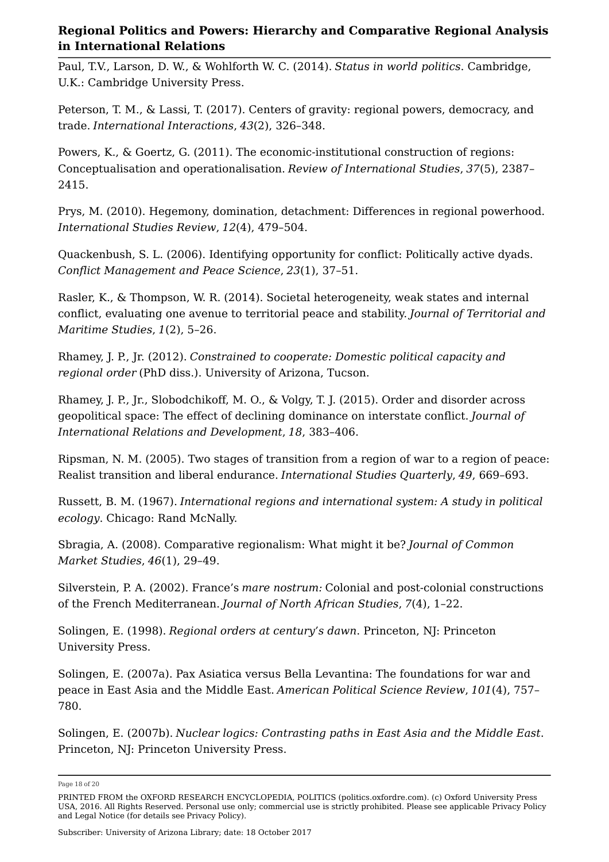Paul, T.V., Larson, D. W., & Wohlforth W. C. (2014). *Status in world politics*. Cambridge, U.K.: Cambridge University Press.

Peterson, T. M., & Lassi, T. (2017). Centers of gravity: regional powers, democracy, and trade. *International Interactions*, *43*(2), 326–348.

Powers, K., & Goertz, G. (2011). The economic-institutional construction of regions: Conceptualisation and operationalisation. *Review of International Studies*, *37*(5), 2387– 2415.

Prys, M. (2010). Hegemony, domination, detachment: Differences in regional powerhood. *International Studies Review*, *12*(4), 479–504.

Quackenbush, S. L. (2006). Identifying opportunity for conflict: Politically active dyads. *Conflict Management and Peace Science*, *23*(1), 37–51.

Rasler, K., & Thompson, W. R. (2014). Societal heterogeneity, weak states and internal conflict, evaluating one avenue to territorial peace and stability. *Journal of Territorial and Maritime Studies*, *1*(2), 5–26.

Rhamey, J. P., Jr. (2012). *Constrained to cooperate: Domestic political capacity and regional order* (PhD diss.). University of Arizona, Tucson.

Rhamey, J. P., Jr., Slobodchikoff, M. O., & Volgy, T. J. (2015). Order and disorder across geopolitical space: The effect of declining dominance on interstate conflict. *Journal of International Relations and Development*, *18*, 383–406.

Ripsman, N. M. (2005). Two stages of transition from a region of war to a region of peace: Realist transition and liberal endurance. *International Studies Quarterly*, *49*, 669–693.

Russett, B. M. (1967). *International regions and international system: A study in political ecology*. Chicago: Rand McNally.

Sbragia, A. (2008). Comparative regionalism: What might it be? *Journal of Common Market Studies*, *46*(1), 29–49.

Silverstein, P. A. (2002). France's *mare nostrum:* Colonial and post-colonial constructions of the French Mediterranean. *Journal of North African Studies*, *7*(4), 1–22.

Solingen, E. (1998). *Regional orders at century's dawn*. Princeton, NJ: Princeton University Press.

Solingen, E. (2007a). Pax Asiatica versus Bella Levantina: The foundations for war and peace in East Asia and the Middle East. *American Political Science Review*, *101*(4), 757– 780.

Solingen, E. (2007b). *Nuclear logics: Contrasting paths in East Asia and the Middle East*. Princeton, NJ: Princeton University Press.

Page 18 of 20

PRINTED FROM the OXFORD RESEARCH ENCYCLOPEDIA, POLITICS (politics.oxfordre.com). (c) Oxford University Press USA, 2016. All Rights Reserved. Personal use only; commercial use is strictly prohibited. Please see applicable Privacy Policy and Legal Notice (for details see Privacy Policy).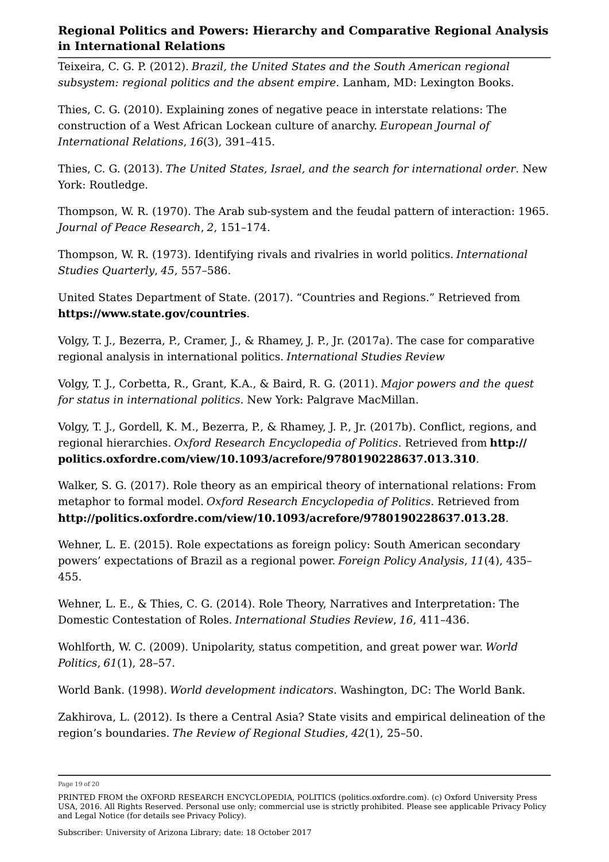Teixeira, C. G. P. (2012). *Brazil, the United States and the South American regional subsystem: regional politics and the absent empire*. Lanham, MD: Lexington Books.

Thies, C. G. (2010). Explaining zones of negative peace in interstate relations: The construction of a West African Lockean culture of anarchy. *European Journal of International Relations*, *16*(3), 391–415.

Thies, C. G. (2013). *The United States, Israel, and the search for international order*. New York: Routledge.

Thompson, W. R. (1970). The Arab sub-system and the feudal pattern of interaction: 1965. *Journal of Peace Research*, *2*, 151–174.

Thompson, W. R. (1973). Identifying rivals and rivalries in world politics. *International Studies Quarterly*, *45*, 557–586.

United States Department of State. (2017). "Countries and Regions." Retrieved from **https://www.state.gov/countries**.

Volgy, T. J., Bezerra, P., Cramer, J., & Rhamey, J. P., Jr. (2017a). The case for comparative regional analysis in international politics. *International Studies Review*

Volgy, T. J., Corbetta, R., Grant, K.A., & Baird, R. G. (2011). *Major powers and the quest for status in international politics*. New York: Palgrave MacMillan.

Volgy, T. J., Gordell, K. M., Bezerra, P., & Rhamey, J. P., Jr. (2017b). Conflict, regions, and regional hierarchies. *Oxford Research Encyclopedia of Politics*. Retrieved from **http:// politics.oxfordre.com/view/10.1093/acrefore/9780190228637.013.310**.

Walker, S. G. (2017). Role theory as an empirical theory of international relations: From metaphor to formal model. *Oxford Research Encyclopedia of Politics*. Retrieved from **http://politics.oxfordre.com/view/10.1093/acrefore/9780190228637.013.28**.

Wehner, L. E. (2015). Role expectations as foreign policy: South American secondary powers' expectations of Brazil as a regional power. *Foreign Policy Analysis*, *11*(4), 435– 455.

Wehner, L. E., & Thies, C. G. (2014). Role Theory, Narratives and Interpretation: The Domestic Contestation of Roles. *International Studies Review*, *16*, 411–436.

Wohlforth, W. C. (2009). Unipolarity, status competition, and great power war. *World Politics*, *61*(1), 28–57.

World Bank. (1998). *World development indicators*. Washington, DC: The World Bank.

Zakhirova, L. (2012). Is there a Central Asia? State visits and empirical delineation of the region's boundaries. *The Review of Regional Studies*, *42*(1), 25–50.

Page 19 of 20

PRINTED FROM the OXFORD RESEARCH ENCYCLOPEDIA, POLITICS (politics.oxfordre.com). (c) Oxford University Press USA, 2016. All Rights Reserved. Personal use only; commercial use is strictly prohibited. Please see applicable Privacy Policy and Legal Notice (for details see Privacy Policy).